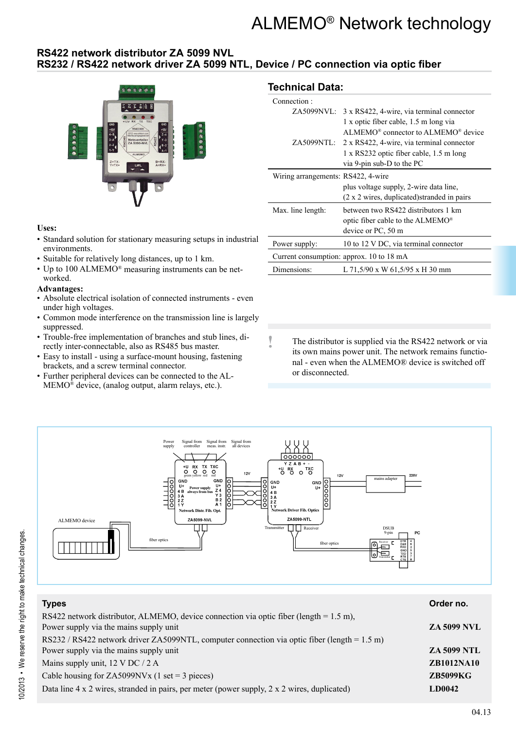# ALMEMO® Network technology

## **RS422 network distributor ZA 5099 NVL RS232 / RS422 network driver ZA 5099 NTL, Device / PC connection via optic fiber**



#### **Uses:**

- Standard solution for stationary measuring setups in industrial environments.
- Suitable for relatively long distances, up to 1 km.
- Up to 100 ALMEMO® measuring instruments can be networked.

#### **Advantages:**

- Absolute electrical isolation of connected instruments even under high voltages.
- Common mode interference on the transmission line is largely suppressed.
- Trouble-free implementation of branches and stub lines, directly inter-connectable, also as RS485 bus master.
- Easy to install using a surface-mount housing, fastening brackets, and a screw terminal connector.
- Further peripheral devices can be connected to the AL-MEMO® device, (analog output, alarm relays, etc.).

## **Technical Data:**

| Connection:                        |                                                      |
|------------------------------------|------------------------------------------------------|
|                                    | ZA5099NVL: 3 x RS422, 4-wire, via terminal connector |
|                                    | 1 x optic fiber cable, 1.5 m long via                |
|                                    | $ALMEMO® connector to ALMEMO® device$                |
|                                    | ZA5099NTL: 2 x RS422, 4-wire, via terminal connector |
|                                    | 1 x RS232 optic fiber cable, 1.5 m long              |
|                                    | via 9-pin sub-D to the PC                            |
| Wiring arrangements: RS422, 4-wire |                                                      |
|                                    | plus voltage supply, 2-wire data line,               |
|                                    | (2 x 2 wires, duplicated) stranded in pairs          |
| Max. line length:                  | between two RS422 distributors 1 km                  |
|                                    | optic fiber cable to the ALMEMO <sup>®</sup>         |
|                                    | device or PC, 50 m                                   |
| Power supply:                      | 10 to 12 V DC, via terminal connector                |
|                                    | Current consumption: approx. 10 to 18 mA             |
| Dimensions:                        | L 71,5/90 x W 61,5/95 x H 30 mm                      |

**!** The distributor is supplied via the RS422 network or via its own mains power unit. The network remains functional - even when the ALMEMO® device is switched off or disconnected.



| <b>Types</b>                                                                                                                       | Order no.          |
|------------------------------------------------------------------------------------------------------------------------------------|--------------------|
| RS422 network distributor, ALMEMO, device connection via optic fiber (length = $1.5$ m),<br>Power supply via the mains supply unit | <b>ZA 5099 NVL</b> |
| RS232 / RS422 network driver ZA5099NTL, computer connection via optic fiber (length = $1.5$ m)                                     |                    |
| Power supply via the mains supply unit                                                                                             | <b>ZA 5099 NTL</b> |
| Mains supply unit, 12 V DC / 2 A                                                                                                   | <b>ZB1012NA10</b>  |
| Cable housing for ZA5099NVx (1 set = 3 pieces)                                                                                     | <b>ZB5099KG</b>    |
| Data line $4 \times 2$ wires, stranded in pairs, per meter (power supply, $2 \times 2$ wires, duplicated)                          | <b>LD0042</b>      |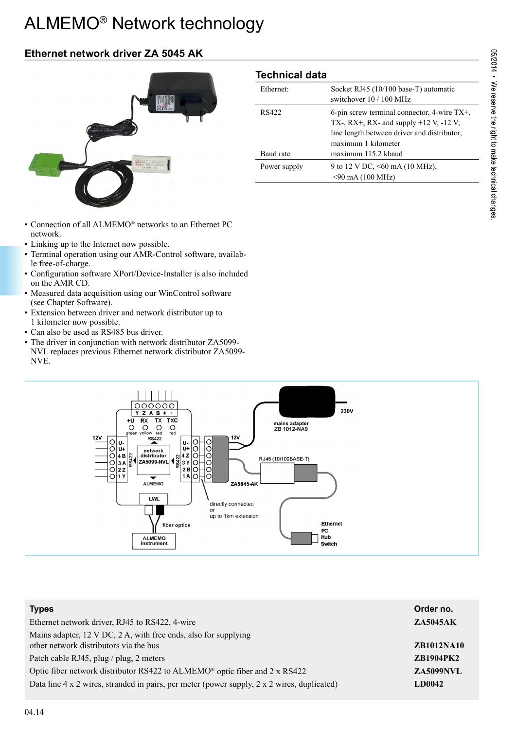# ALMEMO® Network technology

# **Ethernet network driver ZA 5045 AK**



- Connection of all ALMEMO® networks to an Ethernet PC network.
- Linking up to the Internet now possible.
- Terminal operation using our AMR-Control software, available free-of-charge.
- Configuration software XPort/Device-Installer is also included on the AMR CD.
- Measured data acquisition using our WinControl software (see Chapter Software).
- Extension between driver and network distributor up to 1 kilometer now possible.
- Can also be used as RS485 bus driver.
- The driver in conjunction with network distributor ZA5099- NVL replaces previous Ethernet network distributor ZA5099- NVE.

## **Technical data**

| Ethernet:    | Socket RJ45 (10/100 base-T) automatic<br>switchover 10 / 100 MHz                                                                                                    |
|--------------|---------------------------------------------------------------------------------------------------------------------------------------------------------------------|
| RS422        | 6-pin screw terminal connector, 4-wire $TX^+$ ,<br>TX-, RX+, RX- and supply $+12$ V, $-12$ V;<br>line length between driver and distributor,<br>maximum 1 kilometer |
| Baud rate    | maximum 115.2 kbaud                                                                                                                                                 |
| Power supply | 9 to 12 V DC, <60 mA (10 MHz),<br>$<$ 90 mA (100 MHz)                                                                                                               |



| <b>Types</b>                                                                                | Order no.         |
|---------------------------------------------------------------------------------------------|-------------------|
| Ethernet network driver, RJ45 to RS422, 4-wire                                              | <b>ZA5045AK</b>   |
| Mains adapter, 12 V DC, 2 A, with free ends, also for supplying                             |                   |
| other network distributors via the bus                                                      | <b>ZB1012NA10</b> |
| Patch cable RJ45, plug / plug, 2 meters                                                     | <b>ZB1904PK2</b>  |
| Optic fiber network distributor RS422 to ALMEMO® optic fiber and 2 x RS422                  | <b>ZA5099NVL</b>  |
| Data line 4 x 2 wires, stranded in pairs, per meter (power supply, 2 x 2 wires, duplicated) | <b>LD0042</b>     |